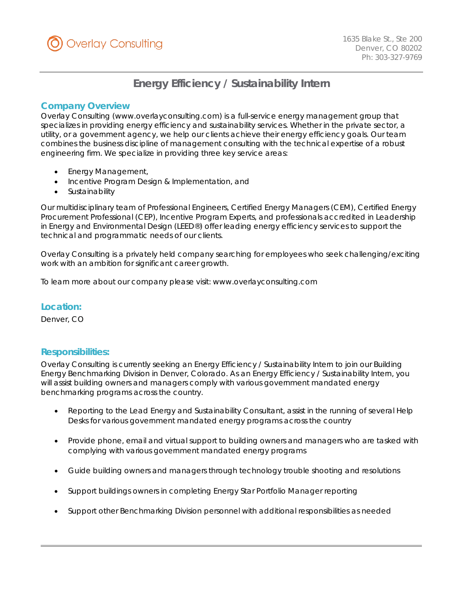

# **Energy Efficiency / Sustainability Intern**

# *Company Overview*

Overlay Consulting (www.overlayconsulting.com) is a full-service energy management group that specializes in providing energy efficiency and sustainability services. Whether in the private sector, a utility, or a government agency, we help our clients achieve their energy efficiency goals. Our team combines the business discipline of management consulting with the technical expertise of a robust engineering firm. We specialize in providing three key service areas:

- Energy Management,
- Incentive Program Design & Implementation, and
- **Sustainability**

Our multidisciplinary team of Professional Engineers, Certified Energy Managers (CEM), Certified Energy Procurement Professional (CEP), Incentive Program Experts, and professionals accredited in Leadership in Energy and Environmental Design (LEED®) offer leading energy efficiency services to support the technical and programmatic needs of our clients.

Overlay Consulting is a privately held company searching for employees who seek challenging/exciting work with an ambition for significant career growth.

To learn more about our company please visit: www.overlayconsulting.com

## *Location:*

Denver, CO

## *Responsibilities:*

Overlay Consulting is currently seeking an Energy Efficiency / Sustainability Intern to join our Building Energy Benchmarking Division in Denver, Colorado. As an Energy Efficiency / Sustainability Intern, you will assist building owners and managers comply with various government mandated energy benchmarking programs across the country.

- Reporting to the Lead Energy and Sustainability Consultant, assist in the running of several Help Desks for various government mandated energy programs across the country
- Provide phone, email and virtual support to building owners and managers who are tasked with complying with various government mandated energy programs
- Guide building owners and managers through technology trouble shooting and resolutions
- Support buildings owners in completing Energy Star Portfolio Manager reporting
- Support other Benchmarking Division personnel with additional responsibilities as needed